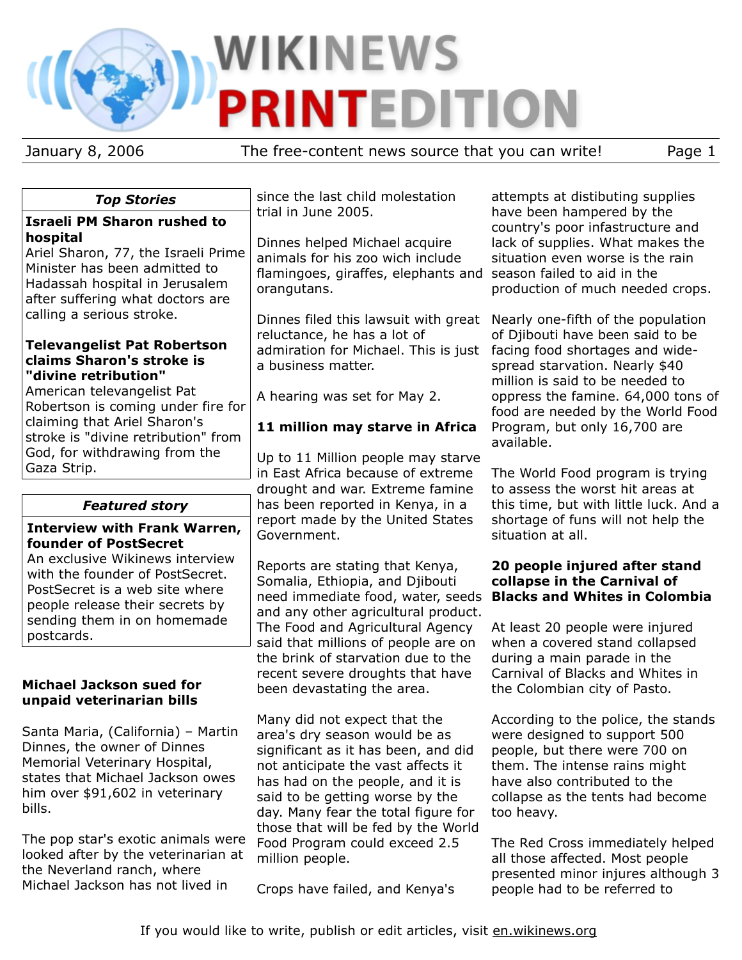# **WIKINEWS PRINTEDITION**

January 8, 2006 The free-content news source that you can write! Page 1

# *Top Stories*

## **Israeli PM Sharon rushed to hospital**

Ariel Sharon, 77, the Israeli Prime Minister has been admitted to Hadassah hospital in Jerusalem after suffering what doctors are calling a serious stroke.

## **Televangelist Pat Robertson claims Sharon's stroke is "divine retribution"**

American televangelist Pat Robertson is coming under fire for claiming that Ariel Sharon's stroke is "divine retribution" from God, for withdrawing from the Gaza Strip.

# *Featured story*

## **Interview with Frank Warren, founder of PostSecret**

An exclusive Wikinews interview with the founder of PostSecret. PostSecret is a web site where people release their secrets by sending them in on homemade postcards.

## **Michael Jackson sued for unpaid veterinarian bills**

Santa Maria, (California) – Martin Dinnes, the owner of Dinnes Memorial Veterinary Hospital, states that Michael Jackson owes him over \$91,602 in veterinary bills.

The pop star's exotic animals were looked after by the veterinarian at the Neverland ranch, where Michael Jackson has not lived in

since the last child molestation trial in June 2005.

Dinnes helped Michael acquire animals for his zoo wich include flamingoes, giraffes, elephants and season failed to aid in the orangutans.

Dinnes filed this lawsuit with great Nearly one-fifth of the population reluctance, he has a lot of admiration for Michael. This is just facing food shortages and widea business matter.

A hearing was set for May 2.

# **11 million may starve in Africa**

Up to 11 Million people may starve in East Africa because of extreme drought and war. Extreme famine has been reported in Kenya, in a report made by the United States Government.

Reports are stating that Kenya, Somalia, Ethiopia, and Djibouti need immediate food, water, seeds **Blacks and Whites in Colombia** and any other agricultural product. The Food and Agricultural Agency said that millions of people are on the brink of starvation due to the recent severe droughts that have been devastating the area.

Many did not expect that the area's dry season would be as significant as it has been, and did not anticipate the vast affects it has had on the people, and it is said to be getting worse by the day. Many fear the total figure for those that will be fed by the World Food Program could exceed 2.5 million people.

Crops have failed, and Kenya's

attempts at distibuting supplies have been hampered by the country's poor infastructure and lack of supplies. What makes the situation even worse is the rain production of much needed crops.

of Djibouti have been said to be spread starvation. Nearly \$40 million is said to be needed to oppress the famine. 64,000 tons of food are needed by the World Food Program, but only 16,700 are available.

The World Food program is trying to assess the worst hit areas at this time, but with little luck. And a shortage of funs will not help the situation at all.

# **20 people injured after stand collapse in the Carnival of**

At least 20 people were injured when a covered stand collapsed during a main parade in the Carnival of Blacks and Whites in the Colombian city of Pasto.

According to the police, the stands were designed to support 500 people, but there were 700 on them. The intense rains might have also contributed to the collapse as the tents had become too heavy.

The Red Cross immediately helped all those affected. Most people presented minor injures although 3 people had to be referred to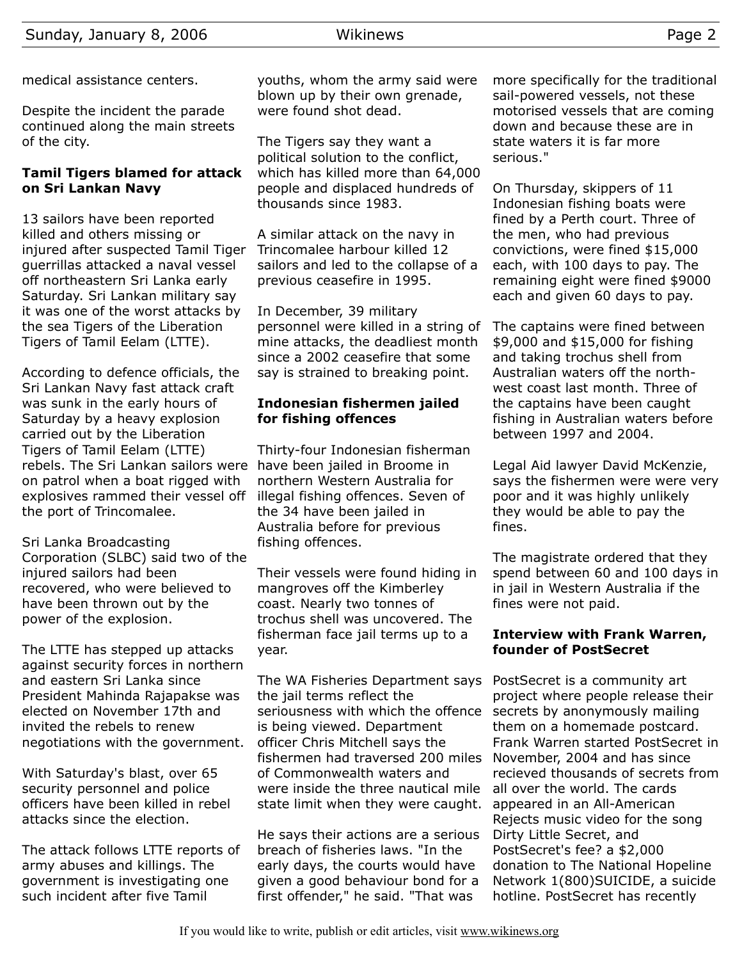medical assistance centers.

Despite the incident the parade continued along the main streets of the city.

## **Tamil Tigers blamed for attack on Sri Lankan Navy**

13 sailors have been reported killed and others missing or injured after suspected Tamil Tiger guerrillas attacked a naval vessel off northeastern Sri Lanka early Saturday. Sri Lankan military say it was one of the worst attacks by the sea Tigers of the Liberation Tigers of Tamil Eelam (LTTE).

According to defence officials, the Sri Lankan Navy fast attack craft was sunk in the early hours of Saturday by a heavy explosion carried out by the Liberation Tigers of Tamil Eelam (LTTE) rebels. The Sri Lankan sailors were have been jailed in Broome in on patrol when a boat rigged with explosives rammed their vessel off the port of Trincomalee.

Sri Lanka Broadcasting Corporation (SLBC) said two of the injured sailors had been recovered, who were believed to have been thrown out by the power of the explosion.

The LTTE has stepped up attacks against security forces in northern and eastern Sri Lanka since President Mahinda Rajapakse was elected on November 17th and invited the rebels to renew negotiations with the government.

With Saturday's blast, over 65 security personnel and police officers have been killed in rebel attacks since the election.

The attack follows LTTE reports of army abuses and killings. The government is investigating one such incident after five Tamil

youths, whom the army said were blown up by their own grenade, were found shot dead.

The Tigers say they want a political solution to the conflict, which has killed more than 64,000 people and displaced hundreds of thousands since 1983.

A similar attack on the navy in Trincomalee harbour killed 12 sailors and led to the collapse of a previous ceasefire in 1995.

In December, 39 military personnel were killed in a string of mine attacks, the deadliest month since a 2002 ceasefire that some say is strained to breaking point.

# **Indonesian fishermen jailed for fishing offences**

Thirty-four Indonesian fisherman northern Western Australia for illegal fishing offences. Seven of the 34 have been jailed in Australia before for previous fishing offences.

Their vessels were found hiding in mangroves off the Kimberley coast. Nearly two tonnes of trochus shell was uncovered. The fisherman face jail terms up to a year.

The WA Fisheries Department says the jail terms reflect the seriousness with which the offence is being viewed. Department officer Chris Mitchell says the fishermen had traversed 200 miles of Commonwealth waters and were inside the three nautical mile state limit when they were caught.

He says their actions are a serious breach of fisheries laws. "In the early days, the courts would have given a good behaviour bond for a first offender," he said. "That was

more specifically for the traditional sail-powered vessels, not these motorised vessels that are coming down and because these are in state waters it is far more serious."

On Thursday, skippers of 11 Indonesian fishing boats were fined by a Perth court. Three of the men, who had previous convictions, were fined \$15,000 each, with 100 days to pay. The remaining eight were fined \$9000 each and given 60 days to pay.

The captains were fined between \$9,000 and \$15,000 for fishing and taking trochus shell from Australian waters off the northwest coast last month. Three of the captains have been caught fishing in Australian waters before between 1997 and 2004.

Legal Aid lawyer David McKenzie, says the fishermen were were very poor and it was highly unlikely they would be able to pay the fines.

The magistrate ordered that they spend between 60 and 100 days in in jail in Western Australia if the fines were not paid.

# **Interview with Frank Warren, founder of PostSecret**

PostSecret is a community art project where people release their secrets by anonymously mailing them on a homemade postcard. Frank Warren started PostSecret in November, 2004 and has since recieved thousands of secrets from all over the world. The cards appeared in an All-American Rejects music video for the song Dirty Little Secret, and PostSecret's fee? a \$2,000 donation to The National Hopeline Network 1(800)SUICIDE, a suicide hotline. PostSecret has recently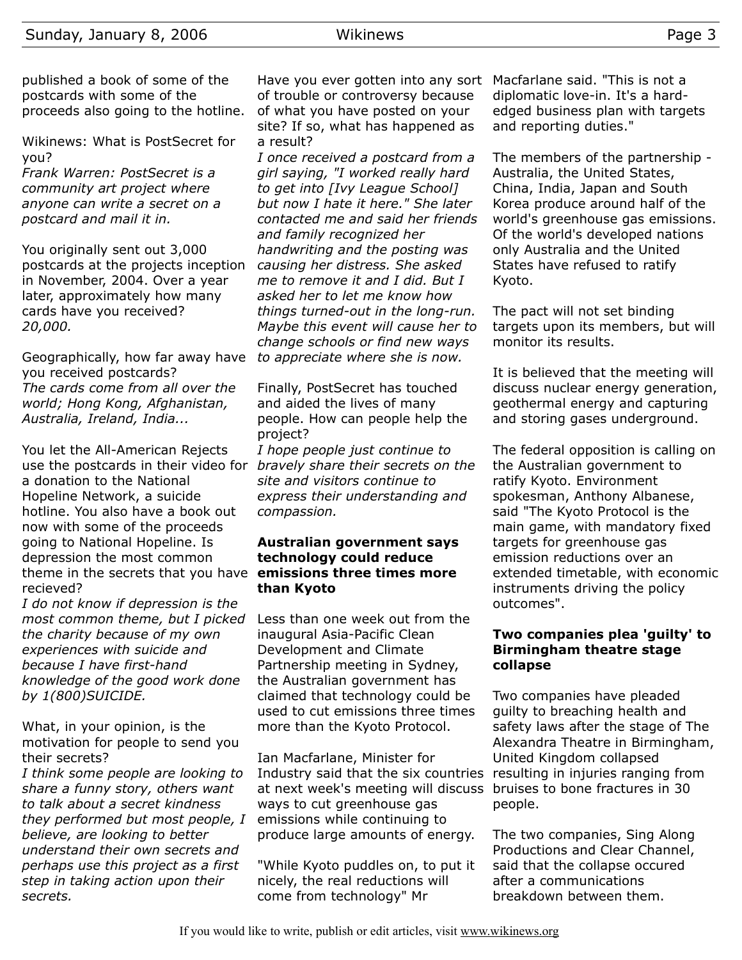published a book of some of the postcards with some of the proceeds also going to the hotline.

Wikinews: What is PostSecret for you?

*Frank Warren: PostSecret is a community art project where anyone can write a secret on a postcard and mail it in.*

You originally sent out 3,000 postcards at the projects inception in November, 2004. Over a year later, approximately how many cards have you received? *20,000.*

Geographically, how far away have you received postcards? *The cards come from all over the world; Hong Kong, Afghanistan, Australia, Ireland, India...*

You let the All-American Rejects use the postcards in their video for *bravely share their secrets on the* a donation to the National Hopeline Network, a suicide hotline. You also have a book out now with some of the proceeds going to National Hopeline. Is depression the most common theme in the secrets that you have **emissions three times more** recieved?

*I do not know if depression is the most common theme, but I picked the charity because of my own experiences with suicide and because I have first-hand knowledge of the good work done by 1(800)SUICIDE.*

What, in your opinion, is the motivation for people to send you their secrets?

*I think some people are looking to share a funny story, others want to talk about a secret kindness they performed but most people, I believe, are looking to better understand their own secrets and perhaps use this project as a first step in taking action upon their secrets.*

Have you ever gotten into any sort Macfarlane said. "This is not a of trouble or controversy because of what you have posted on your site? If so, what has happened as a result?

*I once received a postcard from a girl saying, "I worked really hard to get into [Ivy League School] but now I hate it here." She later contacted me and said her friends and family recognized her handwriting and the posting was causing her distress. She asked me to remove it and I did. But I asked her to let me know how things turned-out in the long-run. Maybe this event will cause her to change schools or find new ways to appreciate where she is now.*

Finally, PostSecret has touched and aided the lives of many people. How can people help the project?

*I hope people just continue to site and visitors continue to express their understanding and compassion.*

# **Australian government says technology could reduce than Kyoto**

Less than one week out from the inaugural Asia-Pacific Clean Development and Climate Partnership meeting in Sydney, the Australian government has claimed that technology could be used to cut emissions three times more than the Kyoto Protocol.

Ian Macfarlane, Minister for Industry said that the six countries resulting in injuries ranging from at next week's meeting will discuss bruises to bone fractures in 30 ways to cut greenhouse gas emissions while continuing to produce large amounts of energy.

"While Kyoto puddles on, to put it nicely, the real reductions will come from technology" Mr

diplomatic love-in. It's a hardedged business plan with targets and reporting duties."

The members of the partnership - Australia, the United States, China, India, Japan and South Korea produce around half of the world's greenhouse gas emissions. Of the world's developed nations only Australia and the United States have refused to ratify Kyoto.

The pact will not set binding targets upon its members, but will monitor its results.

It is believed that the meeting will discuss nuclear energy generation, geothermal energy and capturing and storing gases underground.

The federal opposition is calling on the Australian government to ratify Kyoto. Environment spokesman, Anthony Albanese, said "The Kyoto Protocol is the main game, with mandatory fixed targets for greenhouse gas emission reductions over an extended timetable, with economic instruments driving the policy outcomes".

## **Two companies plea 'guilty' to Birmingham theatre stage collapse**

Two companies have pleaded guilty to breaching health and safety laws after the stage of The Alexandra Theatre in Birmingham, United Kingdom collapsed people.

The two companies, Sing Along Productions and Clear Channel, said that the collapse occured after a communications breakdown between them.